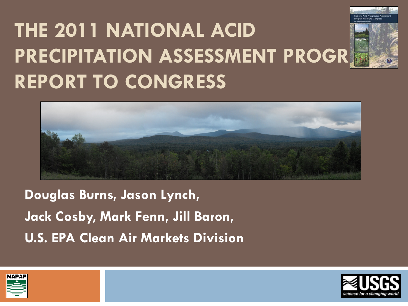### **THE 2011 NATIONAL ACID PRECIPITATION ASSESSMENT PROGR REPORT TO CONGRESS**





**Douglas Burns, Jason Lynch, Jack Cosby, Mark Fenn, Jill Baron, U.S. EPA Clean Air Markets Division**



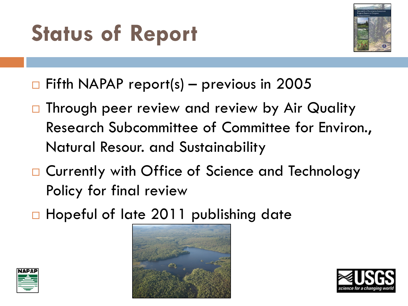### **Status of Report**



- $\Box$  Fifth NAPAP report(s) previous in 2005
- □ Through peer review and review by Air Quality Research Subcommittee of Committee for Environ., Natural Resour. and Sustainability
- □ Currently with Office of Science and Technology Policy for final review
- □ Hopeful of late 2011 publishing date





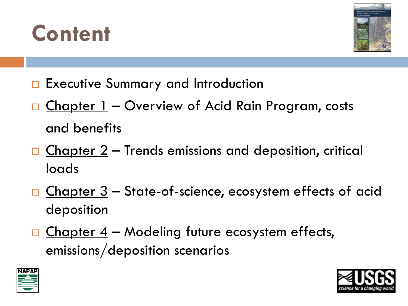



- □ Executive Summary and Introduction
- □ Chapter 1 Overview of Acid Rain Program, costs and benefits
- $\Box$  Chapter 2 Trends emissions and deposition, critical loads
- $\Box$  Chapter  $3$  State-of-science, ecosystem effects of acid deposition
- $\Box$  Chapter 4 Modeling future ecosystem effects, emissions/deposition scenarios



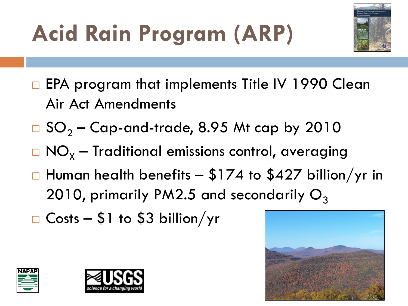## **Acid Rain Program (ARP)**



- □ EPA program that implements Title IV 1990 Clean Air Act Amendments
- $\Box$  SO<sub>2</sub> Cap-and-trade, 8.95 Mt cap by 2010
- $\Box$  NO<sub>x</sub> Traditional emissions control, averaging
- $\Box$  Human health benefits \$174 to \$427 billion/yr in 2010, primarily PM2.5 and secondarily  $O_3$
- $\Box$  Costs \$1 to \$3 billion/yr





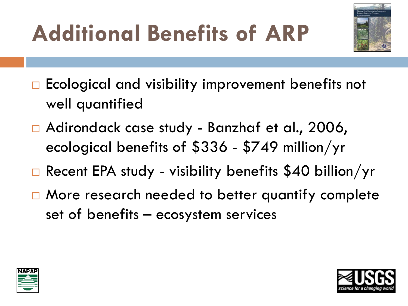### **Additional Benefits of ARP**



- $\Box$  Ecological and visibility improvement benefits not well quantified
- □ Adirondack case study Banzhaf et al., 2006, ecological benefits of \$336 - \$749 million/yr
- Recent EPA study visibility benefits \$40 billion/yr
- $\Box$  More research needed to better quantify complete set of benefits – ecosystem services



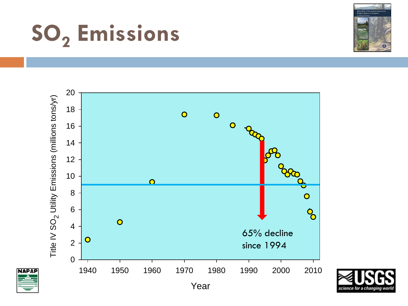## **SO2 Emissions**





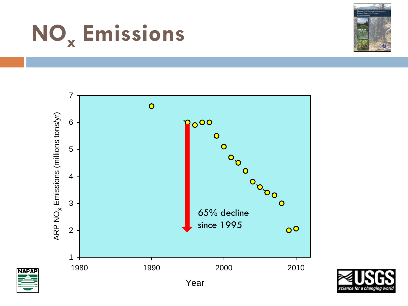

**NAPAP** 





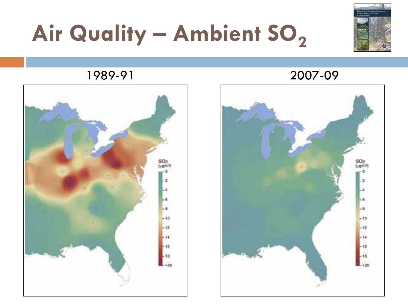### Air Quality – Ambient SO<sub>2</sub>



#### 1989-91 2007-09



# SO: Light  $-10$  $-12$ 18 18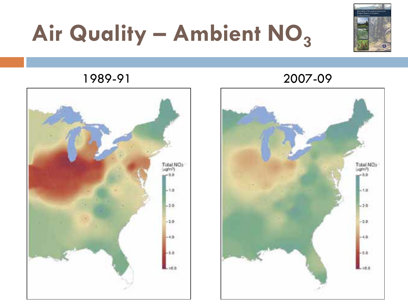### Air Quality – Ambient NO<sub>3</sub>





#### 1989-91 2007-09

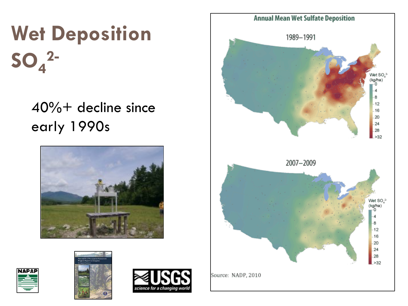### **Wet Deposition SO4 2-**

#### 40%+ decline since early 1990s









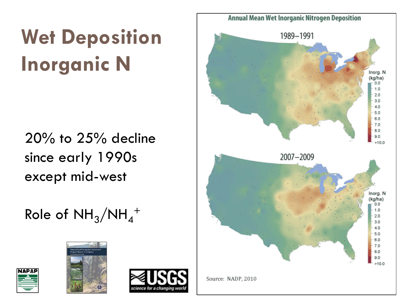### **Wet Deposition Inorganic N**

#### 20% to 25% decline since early 1990s except mid-west

### Role of  $\mathrm{NH}_3/\mathrm{NH}_4^+$



**NAPAP** 



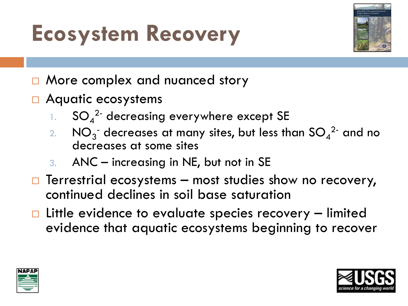### **Ecosystem Recovery**



- □ More complex and nuanced story
- □ Aquatic ecosystems
	- 1.  $SO_4^2$  decreasing everywhere except SE
	- 2.  $NO_3^-$  decreases at many sites, but less than  $SO_4^2$  and no decreases at some sites
	- 3. ANC increasing in NE, but not in SE
- $\Box$  Terrestrial ecosystems most studies show no recovery, continued declines in soil base saturation
- $\Box$  Little evidence to evaluate species recovery  $-$  limited evidence that aquatic ecosystems beginning to recover



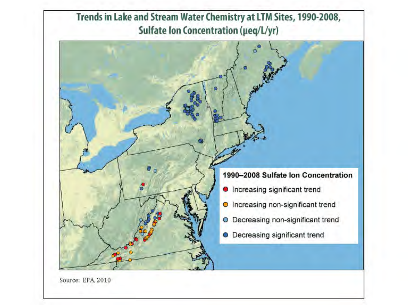

Source: EPA. 2010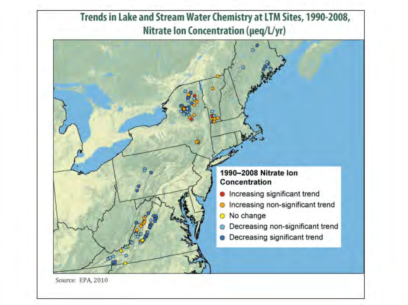

Source: EPA, 2010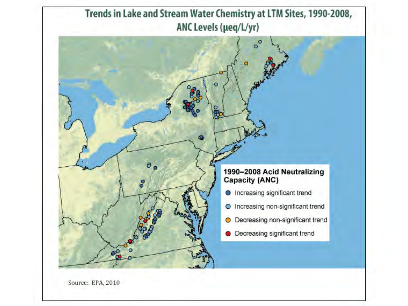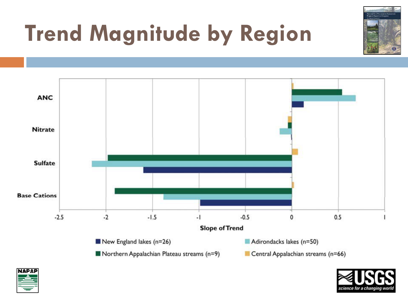

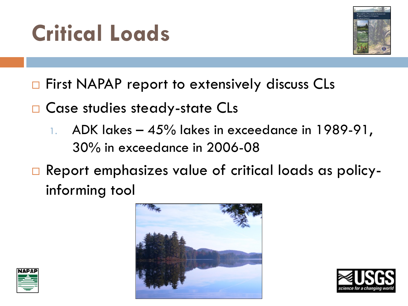



- $\Box$  First NAPAP report to extensively discuss CLs
- □ Case studies steady-state CLs
	- 1. ADK lakes  $-45\%$  lakes in exceedance in 1989-91, 30% in exceedance in 2006-08
- □ Report emphasizes value of critical loads as policyinforming tool





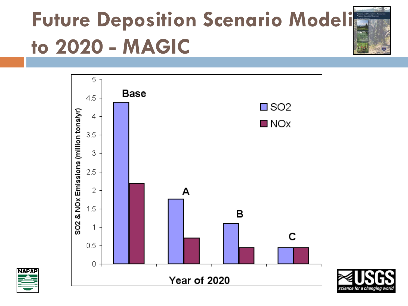### **Future Deposition Scenario Modeli<sup>ng</sup> to 2020 - MAGIC**





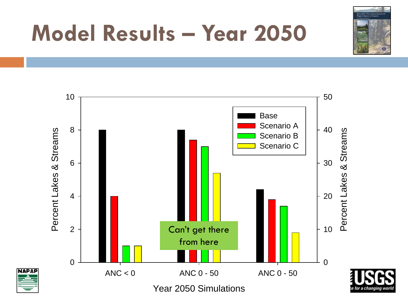

### **Model Results – Year 2050**



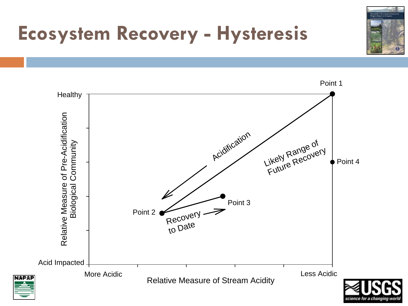

### **Ecosystem Recovery - Hysteresis**

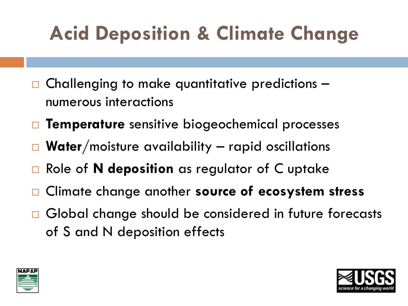### **Acid Deposition & Climate Change**

- Challenging to make quantitative predictions numerous interactions
- **Temperature** sensitive biogeochemical processes
- **Water**/moisture availability rapid oscillations
- Role of **N deposition** as regulator of C uptake
- Climate change another **source of ecosystem stress**
- □ Global change should be considered in future forecasts of S and N deposition effects



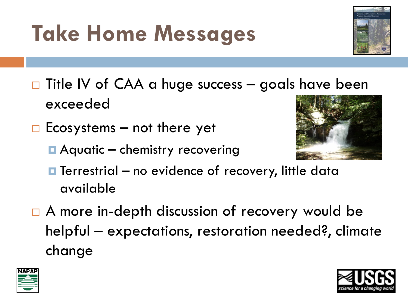# $\Box$  Title IV of CAA a huge success – goals have been

 $\Box$  Ecosystems – not there yet

exceeded

**Aquatic – chemistry recovering** 

**Take Home Messages**

- $\blacksquare$  Terrestrial no evidence of recovery, little data available
- □ A more in-depth discussion of recovery would be helpful – expectations, restoration needed?, climate change